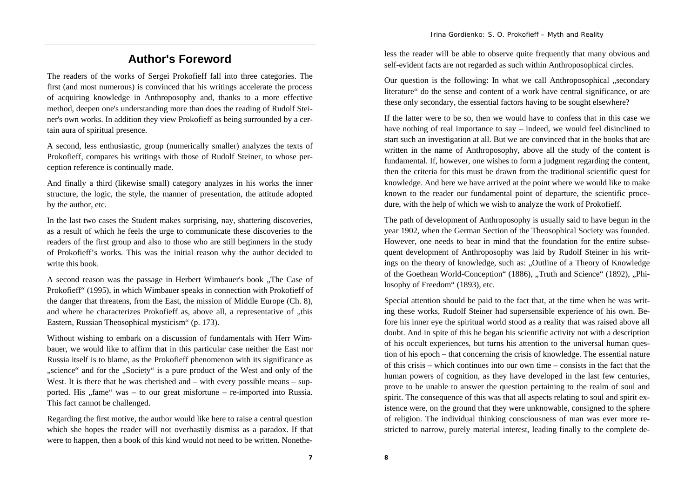## **Author's Foreword**

The readers of the works of Sergei Prokofieff fall into three categories. The first (and most numerous) is convinced that his writings accelerate the process of acquiring knowledge in Anthroposophy and, thanks to a more effective method, deepen one's understanding more than does the reading of Rudolf Steiner's own works. In addition they view Prokofieff as being surrounded by a certain aura of spiritual presence.

A second, less enthusiastic, group (numerically smaller) analyzes the texts of Prokofieff, compares his writings with those of Rudolf Steiner, to whose perception reference is continually made.

And finally a third (likewise small) category analyzes in his works the inner structure, the logic, the style, the manner of presentation, the attitude adopted by the author, etc.

In the last two cases the Student makes surprising, nay, shattering discoveries, as a result of which he feels the urge to communicate these discoveries to the readers of the first group and also to those who are still beginners in the study of Prokofieff's works. This was the initial reason why the author decided to write this book.

A second reason was the passage in Herbert Wimbauer's book "The Case of Prokofieff" (1995), in which Wimbauer speaks in connection with Prokofieff of the danger that threatens, from the East, the mission of Middle Europe (Ch. 8), and where he characterizes Prokofieff as, above all, a representative of  $\mu$ this Eastern, Russian Theosophical mysticism" (p. 173).

Without wishing to embark on a discussion of fundamentals with Herr Wimbauer, we would like to affirm that in this particular case neither the East nor Russia itself is to blame, as the Prokofieff phenomenon with its significance as "science" and for the "Society" is a pure product of the West and only of the West. It is there that he was cherished and – with every possible means – supported. His "fame" was  $-$  to our great misfortune  $-$  re-imported into Russia. This fact cannot be challenged.

Regarding the first motive, the author would like here to raise a central question which she hopes the reader will not overhastily dismiss as a paradox. If that were to happen, then a book of this kind would not need to be written. Nonetheless the reader will be able to observe quite frequently that many obvious and self-evident facts are not regarded as such within Anthroposophical circles.

Our question is the following: In what we call Anthroposophical ... secondary literature" do the sense and content of a work have central significance, or are these only secondary, the essential factors having to be sought elsewhere?

If the latter were to be so, then we would have to confess that in this case we have nothing of real importance to say – indeed, we would feel disinclined to start such an investigation at all. But we are convinced that in the books that are written in the name of Anthroposophy, above all the study of the content is fundamental. If, however, one wishes to form a judgment regarding the content, then the criteria for this must be drawn from the traditional scientific quest for knowledge. And here we have arrived at the point where we would like to make known to the reader our fundamental point of departure, the scientific procedure, with the help of which we wish to analyze the work of Prokofieff.

The path of development of Anthroposophy is usually said to have begun in the year 1902, when the German Section of the Theosophical Society was founded. However, one needs to bear in mind that the foundation for the entire subsequent development of Anthroposophy was laid by Rudolf Steiner in his writings on the theory of knowledge, such as: "Outline of a Theory of Knowledge of the Goethean World-Conception" (1886), "Truth and Science" (1892), "Philosophy of Freedom" (1893), etc.

Special attention should be paid to the fact that, at the time when he was writing these works, Rudolf Steiner had supersensible experience of his own. Before his inner eye the spiritual world stood as a reality that was raised above all doubt. And in spite of this he began his scientific activity not with a description of his occult experiences, but turns his attention to the universal human question of his epoch – that concerning the crisis of knowledge. The essential nature of this crisis – which continues into our own time – consists in the fact that the human powers of cognition, as they have developed in the last few centuries, prove to be unable to answer the question pertaining to the realm of soul and spirit. The consequence of this was that all aspects relating to soul and spirit existence were, on the ground that they were unknowable, consigned to the sphere of religion. The individual thinking consciousness of man was ever more restricted to narrow, purely material interest, leading finally to the complete de-

**7**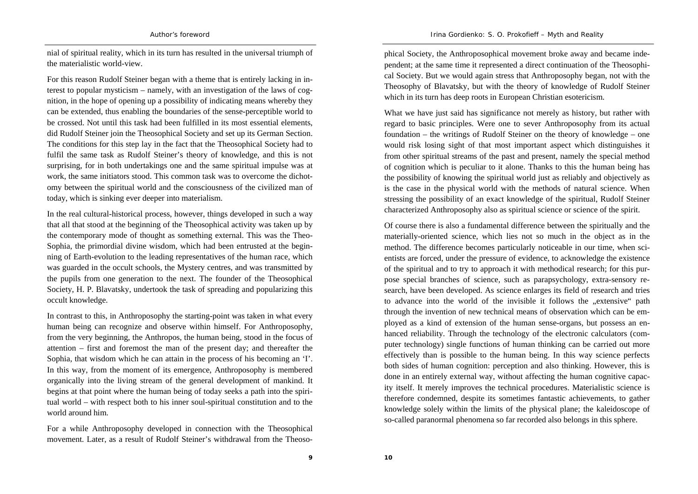nial of spiritual reality, which in its turn has resulted in the universal triumph of the materialistic world-view.

For this reason Rudolf Steiner began with a theme that is entirely lacking in interest to popular mysticism – namely, with an investigation of the laws of cognition, in the hope of opening up a possibility of indicating means whereby they can be extended, thus enabling the boundaries of the sense-perceptible world to be crossed. Not until this task had been fulfilled in its most essential elements, did Rudolf Steiner join the Theosophical Society and set up its German Section. The conditions for this step lay in the fact that the Theosophical Society had to fulfil the same task as Rudolf Steiner's theory of knowledge, and this is not surprising, for in both undertakings one and the same spiritual impulse was at work, the same initiators stood. This common task was to overcome the dichotomy between the spiritual world and the consciousness of the civilized man of today, which is sinking ever deeper into materialism.

In the real cultural-historical process, however, things developed in such a way that all that stood at the beginning of the Theosophical activity was taken up by the contemporary mode of thought as something external. This was the Theo-Sophia, the primordial divine wisdom, which had been entrusted at the beginning of Earth-evolution to the leading representatives of the human race, which was guarded in the occult schools, the Mystery centres, and was transmitted by the pupils from one generation to the next. The founder of the Theosophical Society, H. P. Blavatsky, undertook the task of spreading and popularizing this occult knowledge.

In contrast to this, in Anthroposophy the starting-point was taken in what every human being can recognize and observe within himself. For Anthroposophy, from the very beginning, the Anthropos, the human being, stood in the focus of attention – first and foremost the man of the present day; and thereafter the Sophia, that wisdom which he can attain in the process of his becoming an 'I'. In this way, from the moment of its emergence, Anthroposophy is membered organically into the living stream of the general development of mankind. It begins at that point where the human being of today seeks a path into the spiritual world – with respect both to his inner soul-spiritual constitution and to the world around him.

For a while Anthroposophy developed in connection with the Theosophical movement. Later, as a result of Rudolf Steiner's withdrawal from the Theosophical Society, the Anthroposophical movement broke away and became independent; at the same time it represented a direct continuation of the Theosophical Society. But we would again stress that Anthroposophy began, not with the Theosophy of Blavatsky, but with the theory of knowledge of Rudolf Steiner which in its turn has deep roots in European Christian esotericism.

What we have just said has significance not merely as history, but rather with regard to basic principles. Were one to sever Anthroposophy from its actual foundation – the writings of Rudolf Steiner on the theory of knowledge – one would risk losing sight of that most important aspect which distinguishes it from other spiritual streams of the past and present, namely the special method of cognition which is peculiar to it alone. Thanks to this the human being has the possibility of knowing the spiritual world just as reliably and objectively as is the case in the physical world with the methods of natural science. When stressing the possibility of an exact knowledge of the spiritual, Rudolf Steiner characterized Anthroposophy also as spiritual science or science of the spirit.

Of course there is also a fundamental difference between the spiritually and the materially-oriented science, which lies not so much in the object as in the method. The difference becomes particularly noticeable in our time, when scientists are forced, under the pressure of evidence, to acknowledge the existence of the spiritual and to try to approach it with methodical research; for this purpose special branches of science, such as parapsychology, extra-sensory research, have been developed. As science enlarges its field of research and tries to advance into the world of the invisible it follows the "extensive" path through the invention of new technical means of observation which can be employed as a kind of extension of the human sense-organs, but possess an enhanced reliability. Through the technology of the electronic calculators (computer technology) single functions of human thinking can be carried out more effectively than is possible to the human being. In this way science perfects both sides of human cognition: perception and also thinking. However, this is done in an entirely external way, without affecting the human cognitive capacity itself. It merely improves the technical procedures. Materialistic science is therefore condemned, despite its sometimes fantastic achievements, to gather knowledge solely within the limits of the physical plane; the kaleidoscope of so-called paranormal phenomena so far recorded also belongs in this sphere.

**9**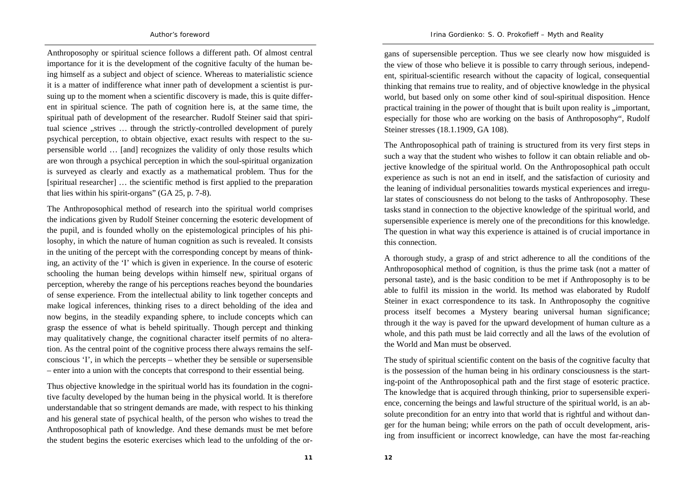Anthroposophy or spiritual science follows a different path. Of almost central importance for it is the development of the cognitive faculty of the human being himself as a subject and object of science. Whereas to materialistic science it is a matter of indifference what inner path of development a scientist is pursuing up to the moment when a scientific discovery is made, this is quite different in spiritual science. The path of cognition here is, at the same time, the spiritual path of development of the researcher. Rudolf Steiner said that spiritual science "strives ... through the strictly-controlled development of purely psychical perception, to obtain objective, exact results with respect to the supersensible world … [and] recognizes the validity of only those results which are won through a psychical perception in which the soul-spiritual organization is surveyed as clearly and exactly as a mathematical problem. Thus for the [spiritual researcher] … the scientific method is first applied to the preparation that lies within his spirit-organs" (GA 25, p. 7-8).

The Anthroposophical method of research into the spiritual world comprises the indications given by Rudolf Steiner concerning the esoteric development of the pupil, and is founded wholly on the epistemological principles of his philosophy, in which the nature of human cognition as such is revealed. It consists in the uniting of the percept with the corresponding concept by means of thinking, an activity of the 'I' which is given in experience. In the course of esoteric schooling the human being develops within himself new, spiritual organs of perception, whereby the range of his perceptions reaches beyond the boundaries of sense experience. From the intellectual ability to link together concepts and make logical inferences, thinking rises to a direct beholding of the idea and now begins, in the steadily expanding sphere, to include concepts which can grasp the essence of what is beheld spiritually. Though percept and thinking may qualitatively change, the cognitional character itself permits of no alteration. As the central point of the cognitive process there always remains the selfconscious 'I', in which the percepts – whether they be sensible or supersensible – enter into a union with the concepts that correspond to their essential being.

Thus objective knowledge in the spiritual world has its foundation in the cognitive faculty developed by the human being in the physical world. It is therefore understandable that so stringent demands are made, with respect to his thinking and his general state of psychical health, of the person who wishes to tread the Anthroposophical path of knowledge. And these demands must be met before the student begins the esoteric exercises which lead to the unfolding of the organs of supersensible perception. Thus we see clearly now how misguided is the view of those who believe it is possible to carry through serious, independent, spiritual-scientific research without the capacity of logical, consequential thinking that remains true to reality, and of objective knowledge in the physical world, but based only on some other kind of soul-spiritual disposition. Hence practical training in the power of thought that is built upon reality is , important, especially for those who are working on the basis of Anthroposophy", Rudolf Steiner stresses (18.1.1909, GA 108).

The Anthroposophical path of training is structured from its very first steps in such a way that the student who wishes to follow it can obtain reliable and objective knowledge of the spiritual world. On the Anthroposophical path occult experience as such is not an end in itself, and the satisfaction of curiosity and the leaning of individual personalities towards mystical experiences and irregular states of consciousness do not belong to the tasks of Anthroposophy. These tasks stand in connection to the objective knowledge of the spiritual world, and supersensible experience is merely one of the preconditions for this knowledge. The question in what way this experience is attained is of crucial importance in this connection.

A thorough study, a grasp of and strict adherence to all the conditions of the Anthroposophical method of cognition, is thus the prime task (not a matter of personal taste), and is the basic condition to be met if Anthroposophy is to be able to fulfil its mission in the world. Its method was elaborated by Rudolf Steiner in exact correspondence to its task. In Anthroposophy the cognitive process itself becomes a Mystery bearing universal human significance; through it the way is paved for the upward development of human culture as a whole, and this path must be laid correctly and all the laws of the evolution of the World and Man must be observed.

The study of spiritual scientific content on the basis of the cognitive faculty that is the possession of the human being in his ordinary consciousness is the starting-point of the Anthroposophical path and the first stage of esoteric practice. The knowledge that is acquired through thinking, prior to supersensible experience, concerning the beings and lawful structure of the spiritual world, is an absolute precondition for an entry into that world that is rightful and without danger for the human being; while errors on the path of occult development, arising from insufficient or incorrect knowledge, can have the most far-reaching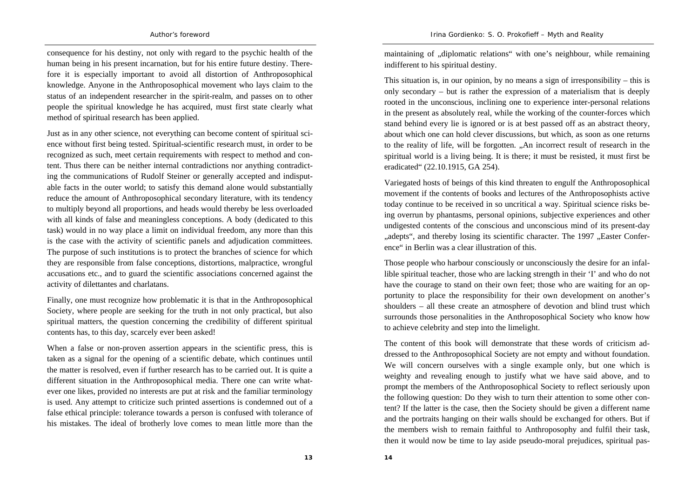consequence for his destiny, not only with regard to the psychic health of the human being in his present incarnation, but for his entire future destiny. Therefore it is especially important to avoid all distortion of Anthroposophical knowledge. Anyone in the Anthroposophical movement who lays claim to the status of an independent researcher in the spirit-realm, and passes on to other people the spiritual knowledge he has acquired, must first state clearly what method of spiritual research has been applied.

Just as in any other science, not everything can become content of spiritual science without first being tested. Spiritual-scientific research must, in order to be recognized as such, meet certain requirements with respect to method and content. Thus there can be neither internal contradictions nor anything contradicting the communications of Rudolf Steiner or generally accepted and indisputable facts in the outer world; to satisfy this demand alone would substantially reduce the amount of Anthroposophical secondary literature, with its tendency to multiply beyond all proportions, and heads would thereby be less overloaded with all kinds of false and meaningless conceptions. A body (dedicated to this task) would in no way place a limit on individual freedom, any more than this is the case with the activity of scientific panels and adjudication committees. The purpose of such institutions is to protect the branches of science for which they are responsible from false conceptions, distortions, malpractice, wrongful accusations etc., and to guard the scientific associations concerned against the activity of dilettantes and charlatans.

Finally, one must recognize how problematic it is that in the Anthroposophical Society, where people are seeking for the truth in not only practical, but also spiritual matters, the question concerning the credibility of different spiritual contents has, to this day, scarcely ever been asked!

When a false or non-proven assertion appears in the scientific press, this is taken as a signal for the opening of a scientific debate, which continues until the matter is resolved, even if further research has to be carried out. It is quite a different situation in the Anthroposophical media. There one can write whatever one likes, provided no interests are put at risk and the familiar terminology is used. Any attempt to criticize such printed assertions is condemned out of a false ethical principle: tolerance towards a person is confused with tolerance of his mistakes. The ideal of brotherly love comes to mean little more than the

maintaining of .diplomatic relations" with one's neighbour, while remaining indifferent to his spiritual destiny.

This situation is, in our opinion, by no means a sign of irresponsibility – this is only secondary – but is rather the expression of a materialism that is deeply rooted in the unconscious, inclining one to experience inter-personal relations in the present as absolutely real, while the working of the counter-forces which stand behind every lie is ignored or is at best passed off as an abstract theory, about which one can hold clever discussions, but which, as soon as one returns to the reality of life, will be forgotten. "An incorrect result of research in the spiritual world is a living being. It is there; it must be resisted, it must first be eradicated" (22.10.1915, GA 254).

Variegated hosts of beings of this kind threaten to engulf the Anthroposophical movement if the contents of books and lectures of the Anthroposophists active today continue to be received in so uncritical a way. Spiritual science risks being overrun by phantasms, personal opinions, subjective experiences and other undigested contents of the conscious and unconscious mind of its present-day "adepts", and thereby losing its scientific character. The 1997 "Easter Conference" in Berlin was a clear illustration of this.

Those people who harbour consciously or unconsciously the desire for an infallible spiritual teacher, those who are lacking strength in their 'I' and who do not have the courage to stand on their own feet; those who are waiting for an opportunity to place the responsibility for their own development on another's shoulders – all these create an atmosphere of devotion and blind trust which surrounds those personalities in the Anthroposophical Society who know how to achieve celebrity and step into the limelight.

The content of this book will demonstrate that these words of criticism addressed to the Anthroposophical Society are not empty and without foundation. We will concern ourselves with a single example only, but one which is weighty and revealing enough to justify what we have said above, and to prompt the members of the Anthroposophical Society to reflect seriously upon the following question: Do they wish to turn their attention to some other content? If the latter is the case, then the Society should be given a different name and the portraits hanging on their walls should be exchanged for others. But if the members wish to remain faithful to Anthroposophy and fulfil their task, then it would now be time to lay aside pseudo-moral prejudices, spiritual pas